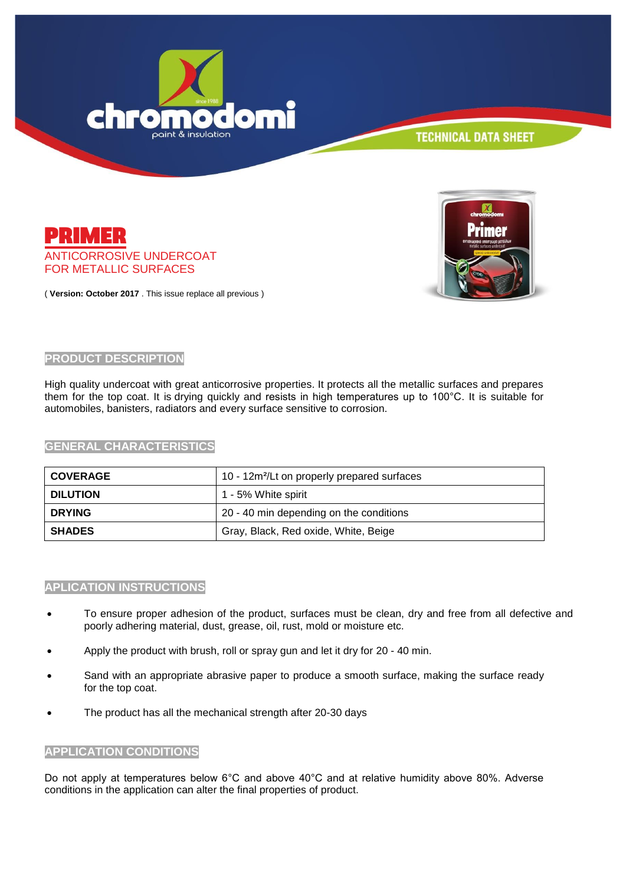



**TECHNICAL DATA SHEET** 

( **Version: October 2017** . This issue replace all previous )

ANTICORROSIVE UNDERCOAT FOR METALLIC SURFACES

### **PRODUCT DESCRIPTION**

PRIMER

High quality undercoat with great anticorrosive properties. It protects all the metallic surfaces and prepares them for the top coat. It is drying quickly and resists in high temperatures up to 100°C. It is suitable for automobiles, banisters, radiators and every surface sensitive to corrosion.

### **GENERAL CHARACTERISTICS**

| <b>COVERAGE</b> | 10 - 12m <sup>2</sup> /Lt on properly prepared surfaces |
|-----------------|---------------------------------------------------------|
| <b>DILUTION</b> | 1 - 5% White spirit                                     |
| <b>DRYING</b>   | 20 - 40 min depending on the conditions                 |
| <b>SHADES</b>   | Gray, Black, Red oxide, White, Beige                    |

#### **APLICATION INSTRUCTIONS**

- To ensure proper adhesion of the product, surfaces must be clean, dry and free from all defective and poorly adhering material, dust, grease, oil, rust, mold or moisture etc.
- Apply the product with brush, roll or spray gun and let it dry for 20 40 min.
- Sand with an appropriate abrasive paper to produce a smooth surface, making the surface ready for the top coat.
- The product has all the mechanical strength after 20-30 days

# **APPLICATION CONDITIONS**

Do not apply at temperatures below 6°C and above 40°C and at relative humidity above 80%. Adverse conditions in the application can alter the final properties of product.